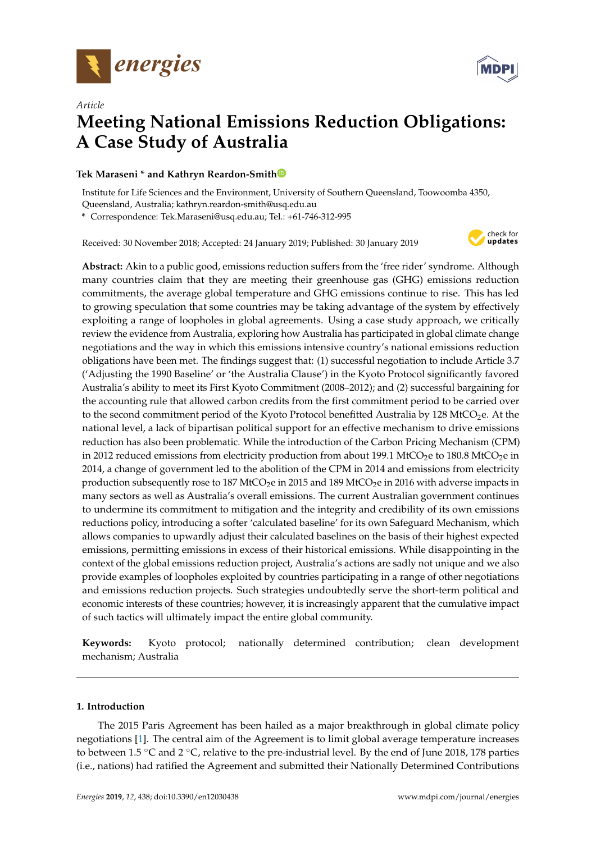

*Article*



# **Meeting National Emissions Reduction Obligations: A Case Study of Australia**

## **Tek Maraseni \* and Kathryn Reardon-Smit[h](https://orcid.org/0000-0002-0997-3058)**

Institute for Life Sciences and the Environment, University of Southern Queensland, Toowoomba 4350, Queensland, Australia; kathryn.reardon-smith@usq.edu.au

**\*** Correspondence: Tek.Maraseni@usq.edu.au; Tel.: +61-746-312-995

Received: 30 November 2018; Accepted: 24 January 2019; Published: 30 January 2019



**Abstract:** Akin to a public good, emissions reduction suffers from the 'free rider' syndrome. Although many countries claim that they are meeting their greenhouse gas (GHG) emissions reduction commitments, the average global temperature and GHG emissions continue to rise. This has led to growing speculation that some countries may be taking advantage of the system by effectively exploiting a range of loopholes in global agreements. Using a case study approach, we critically review the evidence from Australia, exploring how Australia has participated in global climate change negotiations and the way in which this emissions intensive country's national emissions reduction obligations have been met. The findings suggest that: (1) successful negotiation to include Article 3.7 ('Adjusting the 1990 Baseline' or 'the Australia Clause') in the Kyoto Protocol significantly favored Australia's ability to meet its First Kyoto Commitment (2008–2012); and (2) successful bargaining for the accounting rule that allowed carbon credits from the first commitment period to be carried over to the second commitment period of the Kyoto Protocol benefitted Australia by  $128 \text{ MtCO}_{2}$ e. At the national level, a lack of bipartisan political support for an effective mechanism to drive emissions reduction has also been problematic. While the introduction of the Carbon Pricing Mechanism (CPM) in 2012 reduced emissions from electricity production from about 199.1 MtCO<sub>2</sub>e to 180.8 MtCO<sub>2</sub>e in 2014, a change of government led to the abolition of the CPM in 2014 and emissions from electricity production subsequently rose to 187 MtCO<sub>2</sub>e in 2015 and 189 MtCO<sub>2</sub>e in 2016 with adverse impacts in many sectors as well as Australia's overall emissions. The current Australian government continues to undermine its commitment to mitigation and the integrity and credibility of its own emissions reductions policy, introducing a softer 'calculated baseline' for its own Safeguard Mechanism, which allows companies to upwardly adjust their calculated baselines on the basis of their highest expected emissions, permitting emissions in excess of their historical emissions. While disappointing in the context of the global emissions reduction project, Australia's actions are sadly not unique and we also provide examples of loopholes exploited by countries participating in a range of other negotiations and emissions reduction projects. Such strategies undoubtedly serve the short-term political and economic interests of these countries; however, it is increasingly apparent that the cumulative impact of such tactics will ultimately impact the entire global community.

**Keywords:** Kyoto protocol; nationally determined contribution; clean development mechanism; Australia

## **1. Introduction**

The 2015 Paris Agreement has been hailed as a major breakthrough in global climate policy negotiations [\[1\]](#page-10-0). The central aim of the Agreement is to limit global average temperature increases to between 1.5 ◦C and 2 ◦C, relative to the pre-industrial level. By the end of June 2018, 178 parties (i.e., nations) had ratified the Agreement and submitted their Nationally Determined Contributions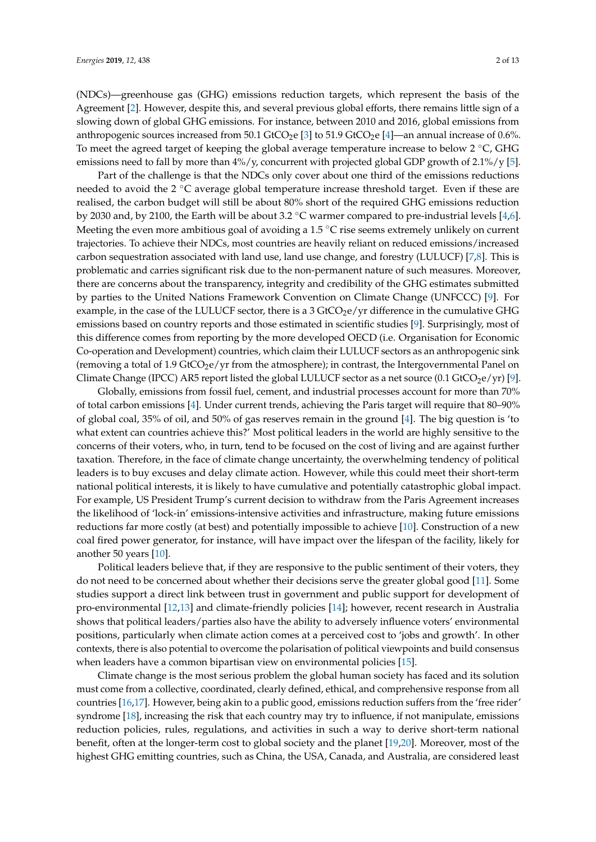(NDCs)—greenhouse gas (GHG) emissions reduction targets, which represent the basis of the Agreement [\[2\]](#page-10-1). However, despite this, and several previous global efforts, there remains little sign of a slowing down of global GHG emissions. For instance, between 2010 and 2016, global emissions from

anthropogenic sources increased from 50.1 GtCO<sub>2</sub>e [\[3\]](#page-10-2) to 51.9 GtCO<sub>2</sub>e [\[4\]](#page-10-3)—an annual increase of 0.6%. To meet the agreed target of keeping the global average temperature increase to below 2 ◦C, GHG emissions need to fall by more than  $4\frac{9}{7}$ , concurrent with projected global GDP growth of 2.1%/y [\[5\]](#page-10-4).

Part of the challenge is that the NDCs only cover about one third of the emissions reductions needed to avoid the 2 ℃ average global temperature increase threshold target. Even if these are realised, the carbon budget will still be about 80% short of the required GHG emissions reduction by 2030 and, by 2100, the Earth will be about 3.2 °C warmer compared to pre-industrial levels [\[4,](#page-10-3)[6\]](#page-10-5). Meeting the even more ambitious goal of avoiding a 1.5 °C rise seems extremely unlikely on current trajectories. To achieve their NDCs, most countries are heavily reliant on reduced emissions/increased carbon sequestration associated with land use, land use change, and forestry (LULUCF) [\[7,](#page-10-6)[8\]](#page-10-7). This is problematic and carries significant risk due to the non-permanent nature of such measures. Moreover, there are concerns about the transparency, integrity and credibility of the GHG estimates submitted by parties to the United Nations Framework Convention on Climate Change (UNFCCC) [\[9\]](#page-10-8). For example, in the case of the LULUCF sector, there is a 3 GtCO<sub>2</sub>e/yr difference in the cumulative GHG emissions based on country reports and those estimated in scientific studies [\[9\]](#page-10-8). Surprisingly, most of this difference comes from reporting by the more developed OECD (i.e. Organisation for Economic Co-operation and Development) countries, which claim their LULUCF sectors as an anthropogenic sink (removing a total of 1.9  $GtCO<sub>2</sub>e/yr$  from the atmosphere); in contrast, the Intergovernmental Panel on Climate Change (IPCC) AR5 report listed the global LULUCF sector as a net source  $(0.1 \text{ GtCO}_2\text{e/yr})$  [\[9\]](#page-10-8).

Globally, emissions from fossil fuel, cement, and industrial processes account for more than 70% of total carbon emissions [\[4\]](#page-10-3). Under current trends, achieving the Paris target will require that 80–90% of global coal, 35% of oil, and 50% of gas reserves remain in the ground [\[4\]](#page-10-3). The big question is 'to what extent can countries achieve this?' Most political leaders in the world are highly sensitive to the concerns of their voters, who, in turn, tend to be focused on the cost of living and are against further taxation. Therefore, in the face of climate change uncertainty, the overwhelming tendency of political leaders is to buy excuses and delay climate action. However, while this could meet their short-term national political interests, it is likely to have cumulative and potentially catastrophic global impact. For example, US President Trump's current decision to withdraw from the Paris Agreement increases the likelihood of 'lock-in' emissions-intensive activities and infrastructure, making future emissions reductions far more costly (at best) and potentially impossible to achieve [\[10\]](#page-10-9). Construction of a new coal fired power generator, for instance, will have impact over the lifespan of the facility, likely for another 50 years [\[10\]](#page-10-9).

Political leaders believe that, if they are responsive to the public sentiment of their voters, they do not need to be concerned about whether their decisions serve the greater global good [\[11\]](#page-10-10). Some studies support a direct link between trust in government and public support for development of pro-environmental [\[12](#page-10-11)[,13\]](#page-10-12) and climate-friendly policies [\[14\]](#page-10-13); however, recent research in Australia shows that political leaders/parties also have the ability to adversely influence voters' environmental positions, particularly when climate action comes at a perceived cost to 'jobs and growth'. In other contexts, there is also potential to overcome the polarisation of political viewpoints and build consensus when leaders have a common bipartisan view on environmental policies [\[15\]](#page-10-14).

Climate change is the most serious problem the global human society has faced and its solution must come from a collective, coordinated, clearly defined, ethical, and comprehensive response from all countries [\[16,](#page-10-15)[17\]](#page-10-16). However, being akin to a public good, emissions reduction suffers from the 'free rider' syndrome [\[18\]](#page-10-17), increasing the risk that each country may try to influence, if not manipulate, emissions reduction policies, rules, regulations, and activities in such a way to derive short-term national benefit, often at the longer-term cost to global society and the planet [\[19,](#page-10-18)[20\]](#page-10-19). Moreover, most of the highest GHG emitting countries, such as China, the USA, Canada, and Australia, are considered least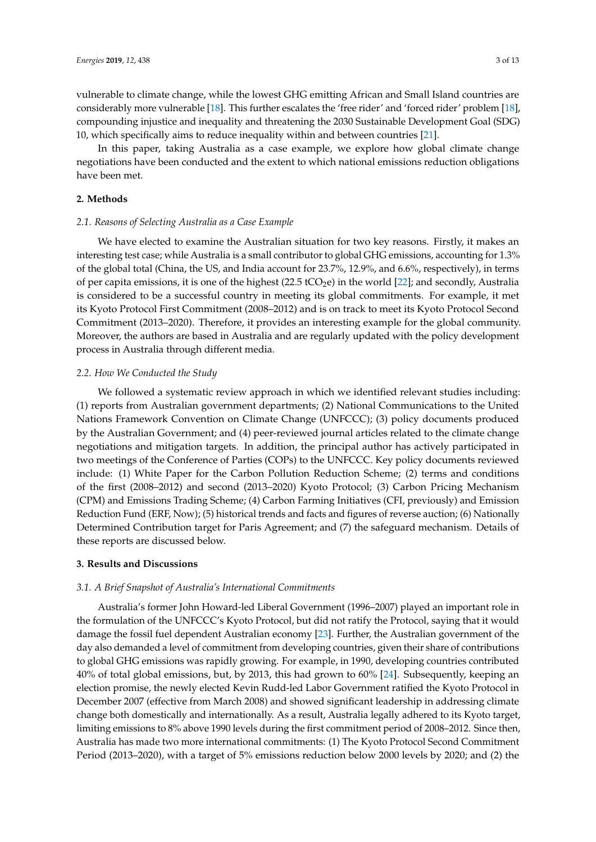vulnerable to climate change, while the lowest GHG emitting African and Small Island countries are considerably more vulnerable [\[18\]](#page-10-17). This further escalates the 'free rider' and 'forced rider' problem [\[18\]](#page-10-17), compounding injustice and inequality and threatening the 2030 Sustainable Development Goal (SDG) 10, which specifically aims to reduce inequality within and between countries [\[21\]](#page-10-20).

In this paper, taking Australia as a case example, we explore how global climate change negotiations have been conducted and the extent to which national emissions reduction obligations have been met.

### **2. Methods**

#### *2.1. Reasons of Selecting Australia as a Case Example*

We have elected to examine the Australian situation for two key reasons. Firstly, it makes an interesting test case; while Australia is a small contributor to global GHG emissions, accounting for 1.3% of the global total (China, the US, and India account for 23.7%, 12.9%, and 6.6%, respectively), in terms of per capita emissions, it is one of the highest (22.5 tCO<sub>2</sub>e) in the world [\[22\]](#page-10-21); and secondly, Australia is considered to be a successful country in meeting its global commitments. For example, it met its Kyoto Protocol First Commitment (2008–2012) and is on track to meet its Kyoto Protocol Second Commitment (2013–2020). Therefore, it provides an interesting example for the global community. Moreover, the authors are based in Australia and are regularly updated with the policy development process in Australia through different media.

#### *2.2. How We Conducted the Study*

We followed a systematic review approach in which we identified relevant studies including: (1) reports from Australian government departments; (2) National Communications to the United Nations Framework Convention on Climate Change (UNFCCC); (3) policy documents produced by the Australian Government; and (4) peer-reviewed journal articles related to the climate change negotiations and mitigation targets. In addition, the principal author has actively participated in two meetings of the Conference of Parties (COPs) to the UNFCCC. Key policy documents reviewed include: (1) White Paper for the Carbon Pollution Reduction Scheme; (2) terms and conditions of the first (2008–2012) and second (2013–2020) Kyoto Protocol; (3) Carbon Pricing Mechanism (CPM) and Emissions Trading Scheme; (4) Carbon Farming Initiatives (CFI, previously) and Emission Reduction Fund (ERF, Now); (5) historical trends and facts and figures of reverse auction; (6) Nationally Determined Contribution target for Paris Agreement; and (7) the safeguard mechanism. Details of these reports are discussed below.

#### **3. Results and Discussions**

#### *3.1. A Brief Snapshot of Australia's International Commitments*

Australia's former John Howard-led Liberal Government (1996–2007) played an important role in the formulation of the UNFCCC's Kyoto Protocol, but did not ratify the Protocol, saying that it would damage the fossil fuel dependent Australian economy [\[23\]](#page-10-22). Further, the Australian government of the day also demanded a level of commitment from developing countries, given their share of contributions to global GHG emissions was rapidly growing. For example, in 1990, developing countries contributed 40% of total global emissions, but, by 2013, this had grown to 60% [\[24\]](#page-11-0). Subsequently, keeping an election promise, the newly elected Kevin Rudd-led Labor Government ratified the Kyoto Protocol in December 2007 (effective from March 2008) and showed significant leadership in addressing climate change both domestically and internationally. As a result, Australia legally adhered to its Kyoto target, limiting emissions to 8% above 1990 levels during the first commitment period of 2008–2012. Since then, Australia has made two more international commitments: (1) The Kyoto Protocol Second Commitment Period (2013–2020), with a target of 5% emissions reduction below 2000 levels by 2020; and (2) the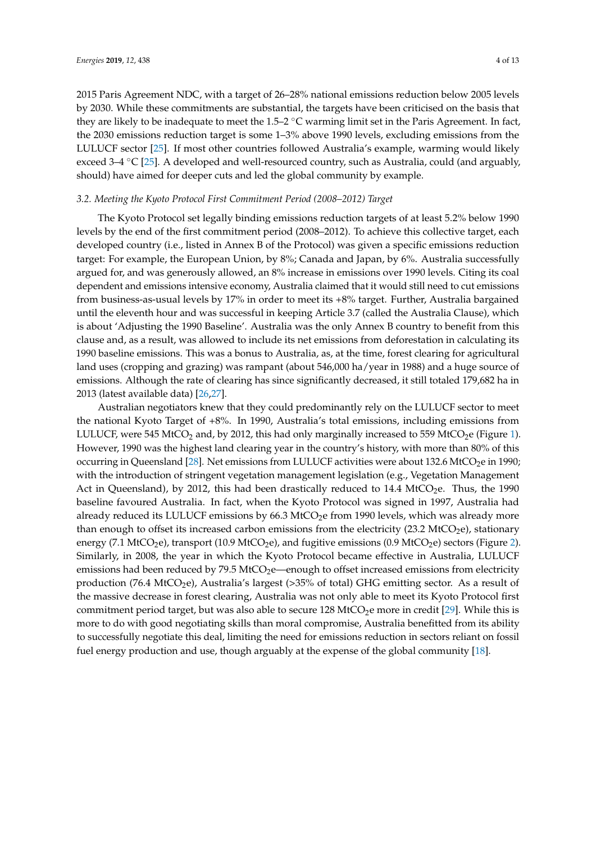2015 Paris Agreement NDC, with a target of 26–28% national emissions reduction below 2005 levels by 2030. While these commitments are substantial, the targets have been criticised on the basis that they are likely to be inadequate to meet the 1.5–2 ◦C warming limit set in the Paris Agreement. In fact, the 2030 emissions reduction target is some 1–3% above 1990 levels, excluding emissions from the LULUCF sector [\[25\]](#page-11-1). If most other countries followed Australia's example, warming would likely exceed 3–4 ◦C [\[25\]](#page-11-1). A developed and well-resourced country, such as Australia, could (and arguably, should) have aimed for deeper cuts and led the global community by example.

#### *3.2. Meeting the Kyoto Protocol First Commitment Period (2008–2012) Target*

The Kyoto Protocol set legally binding emissions reduction targets of at least 5.2% below 1990 levels by the end of the first commitment period (2008–2012). To achieve this collective target, each developed country (i.e., listed in Annex B of the Protocol) was given a specific emissions reduction target: For example, the European Union, by 8%; Canada and Japan, by 6%. Australia successfully argued for, and was generously allowed, an 8% increase in emissions over 1990 levels. Citing its coal dependent and emissions intensive economy, Australia claimed that it would still need to cut emissions from business-as-usual levels by 17% in order to meet its +8% target. Further, Australia bargained until the eleventh hour and was successful in keeping Article 3.7 (called the Australia Clause), which is about 'Adjusting the 1990 Baseline'. Australia was the only Annex B country to benefit from this clause and, as a result, was allowed to include its net emissions from deforestation in calculating its 1990 baseline emissions. This was a bonus to Australia, as, at the time, forest clearing for agricultural land uses (cropping and grazing) was rampant (about 546,000 ha/year in 1988) and a huge source of emissions. Although the rate of clearing has since significantly decreased, it still totaled 179,682 ha in 2013 (latest available data) [\[26,](#page-11-2)[27\]](#page-11-3).

Australian negotiators knew that they could predominantly rely on the LULUCF sector to meet the national Kyoto Target of +8%. In 1990, Australia's total emissions, including emissions from LULUCF, were 545 MtCO<sub>2</sub> and, by 2012, this had only marginally increased to 559 MtCO<sub>2</sub>e (Figure [1\)](#page-4-0). However, 1990 was the highest land clearing year in the country's history, with more than 80% of this occurring in Queensland [\[28\]](#page-11-4). Net emissions from LULUCF activities were about 132.6 MtCO<sub>2</sub>e in 1990; with the introduction of stringent vegetation management legislation (e.g., Vegetation Management Act in Queensland), by 2012, this had been drastically reduced to 14.4 MtCO<sub>2</sub>e. Thus, the 1990 baseline favoured Australia. In fact, when the Kyoto Protocol was signed in 1997, Australia had already reduced its LULUCF emissions by  $66.3$  MtCO<sub>2</sub>e from 1990 levels, which was already more than enough to offset its increased carbon emissions from the electricity (23.2 MtCO<sub>2</sub>e), stationary energy (7.1 MtCO<sub>2</sub>e), transport (10.9 MtCO<sub>2</sub>e), and fugitive emissions (0.9 MtCO<sub>2</sub>e) sectors (Figure [2\)](#page-4-1). Similarly, in 2008, the year in which the Kyoto Protocol became effective in Australia, LULUCF emissions had been reduced by  $79.5 \text{ MtCO}_2$ e—enough to offset increased emissions from electricity production (76.4 MtCO<sub>2</sub>e), Australia's largest ( $>35\%$  of total) GHG emitting sector. As a result of the massive decrease in forest clearing, Australia was not only able to meet its Kyoto Protocol first commitment period target, but was also able to secure 128 MtCO<sub>2</sub>e more in credit [\[29\]](#page-11-5). While this is more to do with good negotiating skills than moral compromise, Australia benefitted from its ability to successfully negotiate this deal, limiting the need for emissions reduction in sectors reliant on fossil fuel energy production and use, though arguably at the expense of the global community [\[18\]](#page-10-17).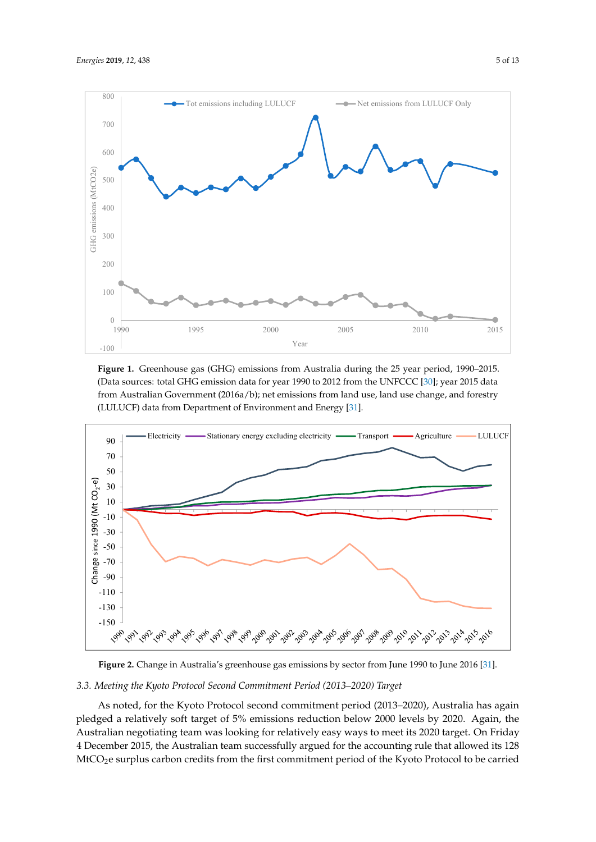<span id="page-4-0"></span>

**Figure 1.** Greenhouse gas (GHG) emissions from Australia during the 25 year period, 1990–2015. **Figure 1.** Greenhouse gas (GHG) emissions from Australia during the 25 year period, 1990–2015. (Data sources: total GHG emission data for year 1990 to 2012 from the UNFCCC [30]; year 2015 data (Data sources: total GHG emission data for year 1990 to 2012 from the UNFCCC [30]; year 2015 data from Australian Government (2016a/b); net emissions from land use, land use change, and forestry from Australian Government (2016a/b); net emissions from land use, land use change, and forestry (LULUCF) data from Department of Environment and Energy [\[31](#page-11-7)]. (LULUCF) data from Department of Environment and Energy [31]. Fi**gure 1.** Greenhouse gas (GHG) emissions from Australia during the 25 year period, 1990–4.<br>(Data sources: total GHG emission data for year 1990 to 2012 from the UNFCCC [30]; year 2015<br>from Australian Government (2016a/b)

<span id="page-4-1"></span>

Figure 2. Change in Australia's greenhouse gas emissions by sector from June 1990 to June 2016 [\[31\]](#page-11-7).

*3.3. Meeting the Kyoto Protocol Second Commitment Period (2013–2020) Target Meeting Period (2013–2020) 3.3. Meeting the Kyoto Protocol Second Commitment Period (2013–2020) Target*

As noted, for the Kyoto Protocol second commitment period (2013–2020), Australia has again pledged a relatively soft target of 5% emissions reduction below 2000 levels by 2020. Again, the Australian negotiating team was looking for relatively easy ways to meet its 2020 target. On Friday 4 December 2015, the Australian team successfully argued for the accounting rule that allowed its 128  $\rm MtCO_2$ e surplus carbon credits from the first commitment period of the Kyoto Protocol to be carried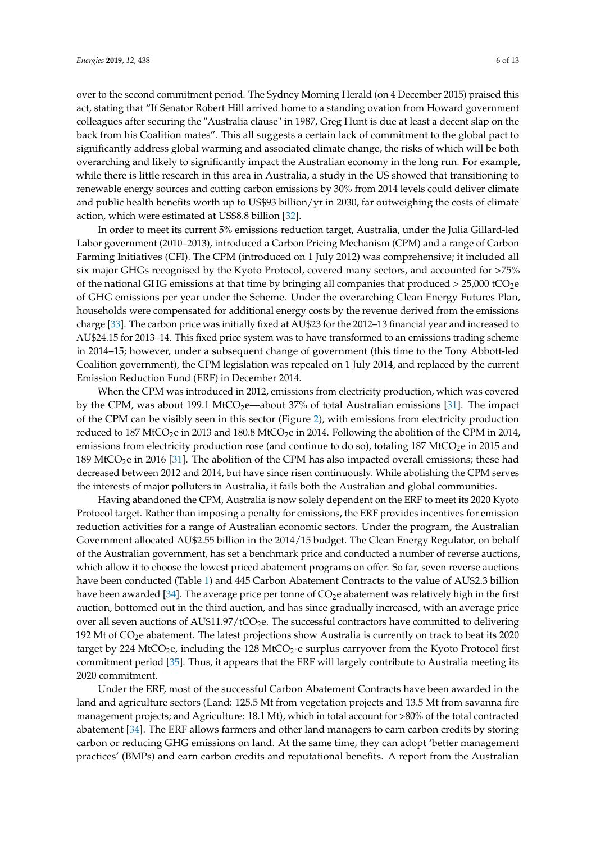over to the second commitment period. The Sydney Morning Herald (on 4 December 2015) praised this act, stating that "If Senator Robert Hill arrived home to a standing ovation from Howard government colleagues after securing the "Australia clause" in 1987, Greg Hunt is due at least a decent slap on the back from his Coalition mates". This all suggests a certain lack of commitment to the global pact to significantly address global warming and associated climate change, the risks of which will be both overarching and likely to significantly impact the Australian economy in the long run. For example, while there is little research in this area in Australia, a study in the US showed that transitioning to renewable energy sources and cutting carbon emissions by 30% from 2014 levels could deliver climate and public health benefits worth up to US\$93 billion/yr in 2030, far outweighing the costs of climate action, which were estimated at US\$8.8 billion [\[32\]](#page-11-8).

In order to meet its current 5% emissions reduction target, Australia, under the Julia Gillard-led Labor government (2010–2013), introduced a Carbon Pricing Mechanism (CPM) and a range of Carbon Farming Initiatives (CFI). The CPM (introduced on 1 July 2012) was comprehensive; it included all six major GHGs recognised by the Kyoto Protocol, covered many sectors, and accounted for >75% of the national GHG emissions at that time by bringing all companies that produced > 25,000 tCO2e of GHG emissions per year under the Scheme. Under the overarching Clean Energy Futures Plan, households were compensated for additional energy costs by the revenue derived from the emissions charge [\[33\]](#page-11-9). The carbon price was initially fixed at AU\$23 for the 2012–13 financial year and increased to AU\$24.15 for 2013–14. This fixed price system was to have transformed to an emissions trading scheme in 2014–15; however, under a subsequent change of government (this time to the Tony Abbott-led Coalition government), the CPM legislation was repealed on 1 July 2014, and replaced by the current Emission Reduction Fund (ERF) in December 2014.

When the CPM was introduced in 2012, emissions from electricity production, which was covered by the CPM, was about 199.1 MtCO<sub>2</sub>e—about 37% of total Australian emissions [\[31\]](#page-11-7). The impact of the CPM can be visibly seen in this sector (Figure [2\)](#page-4-1), with emissions from electricity production reduced to 187 MtCO<sub>2</sub>e in 2013 and 180.8 MtCO<sub>2</sub>e in 2014. Following the abolition of the CPM in 2014, emissions from electricity production rose (and continue to do so), totaling  $187 \text{ MtCO}_2$ e in 2015 and 189 MtCO<sub>2</sub>e in 2016 [\[31\]](#page-11-7). The abolition of the CPM has also impacted overall emissions; these had decreased between 2012 and 2014, but have since risen continuously. While abolishing the CPM serves the interests of major polluters in Australia, it fails both the Australian and global communities.

Having abandoned the CPM, Australia is now solely dependent on the ERF to meet its 2020 Kyoto Protocol target. Rather than imposing a penalty for emissions, the ERF provides incentives for emission reduction activities for a range of Australian economic sectors. Under the program, the Australian Government allocated AU\$2.55 billion in the 2014/15 budget. The Clean Energy Regulator, on behalf of the Australian government, has set a benchmark price and conducted a number of reverse auctions, which allow it to choose the lowest priced abatement programs on offer. So far, seven reverse auctions have been conducted (Table [1\)](#page-6-0) and 445 Carbon Abatement Contracts to the value of AU\$2.3 billion have been awarded [\[34\]](#page-11-10). The average price per tonne of CO<sub>2</sub>e abatement was relatively high in the first auction, bottomed out in the third auction, and has since gradually increased, with an average price over all seven auctions of AU\$11.97/tCO<sub>2</sub>e. The successful contractors have committed to delivering 192 Mt of CO2e abatement. The latest projections show Australia is currently on track to beat its 2020 target by 224 MtCO<sub>2</sub>e, including the 128 MtCO<sub>2</sub>-e surplus carryover from the Kyoto Protocol first commitment period [\[35\]](#page-11-11). Thus, it appears that the ERF will largely contribute to Australia meeting its 2020 commitment.

Under the ERF, most of the successful Carbon Abatement Contracts have been awarded in the land and agriculture sectors (Land: 125.5 Mt from vegetation projects and 13.5 Mt from savanna fire management projects; and Agriculture: 18.1 Mt), which in total account for >80% of the total contracted abatement [\[34\]](#page-11-10). The ERF allows farmers and other land managers to earn carbon credits by storing carbon or reducing GHG emissions on land. At the same time, they can adopt 'better management practices' (BMPs) and earn carbon credits and reputational benefits. A report from the Australian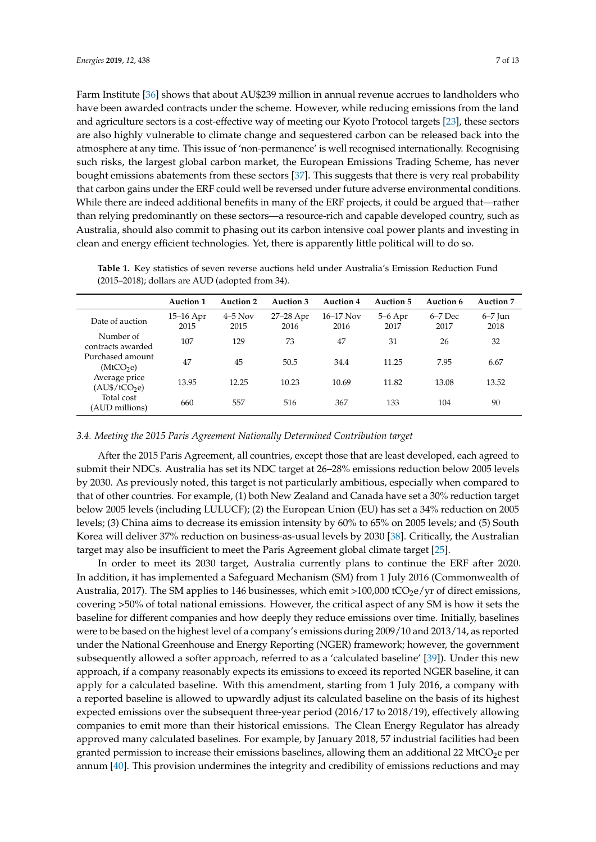Farm Institute [\[36\]](#page-11-12) shows that about AU\$239 million in annual revenue accrues to landholders who have been awarded contracts under the scheme. However, while reducing emissions from the land and agriculture sectors is a cost-effective way of meeting our Kyoto Protocol targets [\[23\]](#page-10-22), these sectors are also highly vulnerable to climate change and sequestered carbon can be released back into the atmosphere at any time. This issue of 'non-permanence' is well recognised internationally. Recognising such risks, the largest global carbon market, the European Emissions Trading Scheme, has never bought emissions abatements from these sectors [\[37\]](#page-11-13). This suggests that there is very real probability that carbon gains under the ERF could well be reversed under future adverse environmental conditions. While there are indeed additional benefits in many of the ERF projects, it could be argued that—rather than relying predominantly on these sectors—a resource-rich and capable developed country, such as Australia, should also commit to phasing out its carbon intensive coal power plants and investing in clean and energy efficient technologies. Yet, there is apparently little political will to do so.

|                                            | <b>Auction 1</b>    | Auction 2         | Auction 3         | Auction 4           | Auction 5         | Auction 6         | Auction 7         |
|--------------------------------------------|---------------------|-------------------|-------------------|---------------------|-------------------|-------------------|-------------------|
| Date of auction                            | $15-16$ Apr<br>2015 | $4-5$ Nov<br>2015 | 27–28 Apr<br>2016 | $16-17$ Nov<br>2016 | $5-6$ Apr<br>2017 | $6-7$ Dec<br>2017 | $6-7$ Jun<br>2018 |
| Number of<br>contracts awarded             | 107                 | 129               | 73                | 47                  | 31                | 26                | 32                |
| Purchased amount<br>(MtCO <sub>2</sub> e)  | 47                  | 45                | 50.5              | 34.4                | 11.25             | 7.95              | 6.67              |
| Average price<br>(AU\$/tCO <sub>2</sub> e) | 13.95               | 12.25             | 10.23             | 10.69               | 11.82             | 13.08             | 13.52             |
| Total cost<br>(AUD millions)               | 660                 | 557               | 516               | 367                 | 133               | 104               | 90                |

<span id="page-6-0"></span>**Table 1.** Key statistics of seven reverse auctions held under Australia's Emission Reduction Fund (2015–2018); dollars are AUD (adopted from 34).

### *3.4. Meeting the 2015 Paris Agreement Nationally Determined Contribution target*

After the 2015 Paris Agreement, all countries, except those that are least developed, each agreed to submit their NDCs. Australia has set its NDC target at 26–28% emissions reduction below 2005 levels by 2030. As previously noted, this target is not particularly ambitious, especially when compared to that of other countries. For example, (1) both New Zealand and Canada have set a 30% reduction target below 2005 levels (including LULUCF); (2) the European Union (EU) has set a 34% reduction on 2005 levels; (3) China aims to decrease its emission intensity by 60% to 65% on 2005 levels; and (5) South Korea will deliver 37% reduction on business-as-usual levels by 2030 [\[38\]](#page-11-14). Critically, the Australian target may also be insufficient to meet the Paris Agreement global climate target [\[25\]](#page-11-1).

In order to meet its 2030 target, Australia currently plans to continue the ERF after 2020. In addition, it has implemented a Safeguard Mechanism (SM) from 1 July 2016 (Commonwealth of Australia, 2017). The SM applies to 146 businesses, which emit  $>100,000$  tCO<sub>2</sub>e/yr of direct emissions, covering >50% of total national emissions. However, the critical aspect of any SM is how it sets the baseline for different companies and how deeply they reduce emissions over time. Initially, baselines were to be based on the highest level of a company's emissions during 2009/10 and 2013/14, as reported under the National Greenhouse and Energy Reporting (NGER) framework; however, the government subsequently allowed a softer approach, referred to as a 'calculated baseline' [\[39\]](#page-11-15)). Under this new approach, if a company reasonably expects its emissions to exceed its reported NGER baseline, it can apply for a calculated baseline. With this amendment, starting from 1 July 2016, a company with a reported baseline is allowed to upwardly adjust its calculated baseline on the basis of its highest expected emissions over the subsequent three-year period (2016/17 to 2018/19), effectively allowing companies to emit more than their historical emissions. The Clean Energy Regulator has already approved many calculated baselines. For example, by January 2018, 57 industrial facilities had been granted permission to increase their emissions baselines, allowing them an additional 22 MtCO<sub>2</sub>e per annum [\[40\]](#page-11-16). This provision undermines the integrity and credibility of emissions reductions and may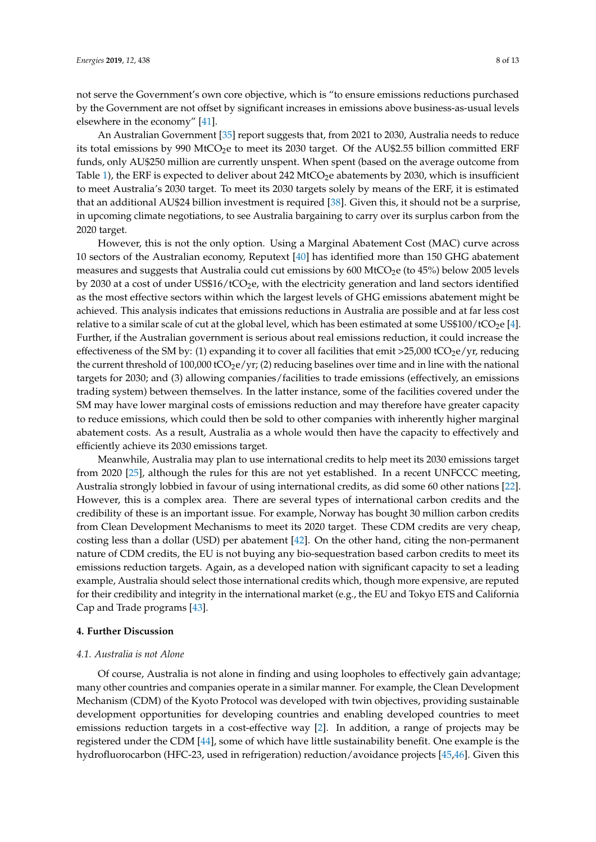not serve the Government's own core objective, which is "to ensure emissions reductions purchased by the Government are not offset by significant increases in emissions above business-as-usual levels elsewhere in the economy" [\[41\]](#page-11-17).

An Australian Government [\[35\]](#page-11-11) report suggests that, from 2021 to 2030, Australia needs to reduce its total emissions by 990 MtCO<sub>2</sub>e to meet its 2030 target. Of the AU\$2.55 billion committed ERF funds, only AU\$250 million are currently unspent. When spent (based on the average outcome from Table [1\)](#page-6-0), the ERF is expected to deliver about 242 MtCO<sub>2</sub>e abatements by 2030, which is insufficient to meet Australia's 2030 target. To meet its 2030 targets solely by means of the ERF, it is estimated that an additional AU\$24 billion investment is required [\[38\]](#page-11-14). Given this, it should not be a surprise, in upcoming climate negotiations, to see Australia bargaining to carry over its surplus carbon from the 2020 target.

However, this is not the only option. Using a Marginal Abatement Cost (MAC) curve across 10 sectors of the Australian economy, Reputext [\[40\]](#page-11-16) has identified more than 150 GHG abatement measures and suggests that Australia could cut emissions by 600 MtCO<sub>2</sub>e (to 45%) below 2005 levels by 2030 at a cost of under US\$16/tCO<sub>2</sub>e, with the electricity generation and land sectors identified as the most effective sectors within which the largest levels of GHG emissions abatement might be achieved. This analysis indicates that emissions reductions in Australia are possible and at far less cost relative to a similar scale of cut at the global level, which has been estimated at some US\$100/tCO<sub>2</sub>e [\[4\]](#page-10-3). Further, if the Australian government is serious about real emissions reduction, it could increase the effectiveness of the SM by: (1) expanding it to cover all facilities that emit >25,000 tCO<sub>2</sub>e/yr, reducing the current threshold of 100,000 tCO<sub>2</sub>e/yr; (2) reducing baselines over time and in line with the national targets for 2030; and (3) allowing companies/facilities to trade emissions (effectively, an emissions trading system) between themselves. In the latter instance, some of the facilities covered under the SM may have lower marginal costs of emissions reduction and may therefore have greater capacity to reduce emissions, which could then be sold to other companies with inherently higher marginal abatement costs. As a result, Australia as a whole would then have the capacity to effectively and efficiently achieve its 2030 emissions target.

Meanwhile, Australia may plan to use international credits to help meet its 2030 emissions target from 2020 [\[25\]](#page-11-1), although the rules for this are not yet established. In a recent UNFCCC meeting, Australia strongly lobbied in favour of using international credits, as did some 60 other nations [\[22\]](#page-10-21). However, this is a complex area. There are several types of international carbon credits and the credibility of these is an important issue. For example, Norway has bought 30 million carbon credits from Clean Development Mechanisms to meet its 2020 target. These CDM credits are very cheap, costing less than a dollar (USD) per abatement [\[42\]](#page-11-18). On the other hand, citing the non-permanent nature of CDM credits, the EU is not buying any bio-sequestration based carbon credits to meet its emissions reduction targets. Again, as a developed nation with significant capacity to set a leading example, Australia should select those international credits which, though more expensive, are reputed for their credibility and integrity in the international market (e.g., the EU and Tokyo ETS and California Cap and Trade programs [\[43\]](#page-11-19).

#### **4. Further Discussion**

#### *4.1. Australia is not Alone*

Of course, Australia is not alone in finding and using loopholes to effectively gain advantage; many other countries and companies operate in a similar manner. For example, the Clean Development Mechanism (CDM) of the Kyoto Protocol was developed with twin objectives, providing sustainable development opportunities for developing countries and enabling developed countries to meet emissions reduction targets in a cost-effective way [\[2\]](#page-10-1). In addition, a range of projects may be registered under the CDM [\[44\]](#page-12-0), some of which have little sustainability benefit. One example is the hydrofluorocarbon (HFC-23, used in refrigeration) reduction/avoidance projects [\[45](#page-12-1)[,46\]](#page-12-2). Given this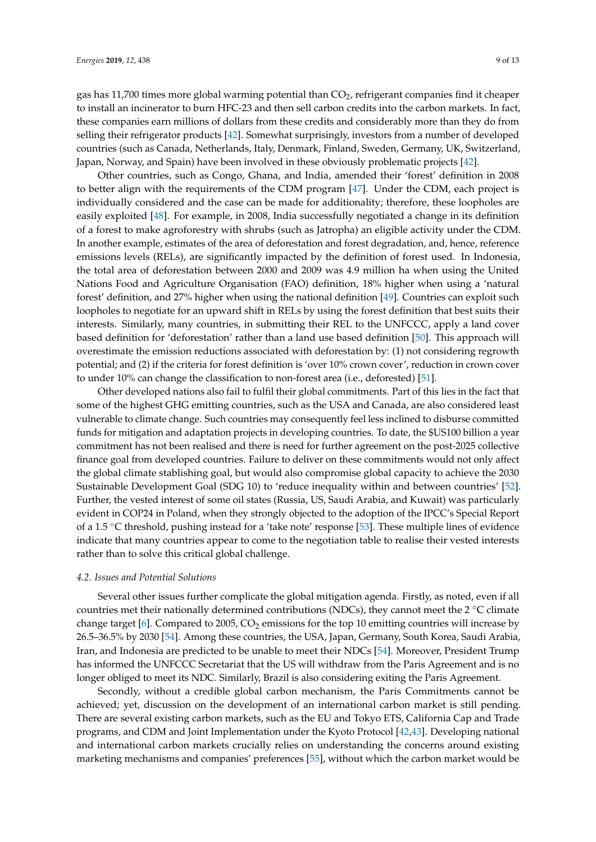gas has 11,700 times more global warming potential than  $CO<sub>2</sub>$ , refrigerant companies find it cheaper to install an incinerator to burn HFC-23 and then sell carbon credits into the carbon markets. In fact, these companies earn millions of dollars from these credits and considerably more than they do from selling their refrigerator products [\[42\]](#page-11-18). Somewhat surprisingly, investors from a number of developed countries (such as Canada, Netherlands, Italy, Denmark, Finland, Sweden, Germany, UK, Switzerland, Japan, Norway, and Spain) have been involved in these obviously problematic projects [\[42\]](#page-11-18).

Other countries, such as Congo, Ghana, and India, amended their 'forest' definition in 2008 to better align with the requirements of the CDM program [\[47\]](#page-12-3). Under the CDM, each project is individually considered and the case can be made for additionality; therefore, these loopholes are easily exploited [\[48\]](#page-12-4). For example, in 2008, India successfully negotiated a change in its definition of a forest to make agroforestry with shrubs (such as Jatropha) an eligible activity under the CDM. In another example, estimates of the area of deforestation and forest degradation, and, hence, reference emissions levels (RELs), are significantly impacted by the definition of forest used. In Indonesia, the total area of deforestation between 2000 and 2009 was 4.9 million ha when using the United Nations Food and Agriculture Organisation (FAO) definition, 18% higher when using a 'natural forest' definition, and 27% higher when using the national definition [\[49\]](#page-12-5). Countries can exploit such loopholes to negotiate for an upward shift in RELs by using the forest definition that best suits their interests. Similarly, many countries, in submitting their REL to the UNFCCC, apply a land cover based definition for 'deforestation' rather than a land use based definition [\[50\]](#page-12-6). This approach will overestimate the emission reductions associated with deforestation by: (1) not considering regrowth potential; and (2) if the criteria for forest definition is 'over 10% crown cover', reduction in crown cover to under 10% can change the classification to non-forest area (i.e., deforested) [\[51\]](#page-12-7).

Other developed nations also fail to fulfil their global commitments. Part of this lies in the fact that some of the highest GHG emitting countries, such as the USA and Canada, are also considered least vulnerable to climate change. Such countries may consequently feel less inclined to disburse committed funds for mitigation and adaptation projects in developing countries. To date, the \$US100 billion a year commitment has not been realised and there is need for further agreement on the post-2025 collective finance goal from developed countries. Failure to deliver on these commitments would not only affect the global climate stablishing goal, but would also compromise global capacity to achieve the 2030 Sustainable Development Goal (SDG 10) to 'reduce inequality within and between countries' [\[52\]](#page-12-8). Further, the vested interest of some oil states (Russia, US, Saudi Arabia, and Kuwait) was particularly evident in COP24 in Poland, when they strongly objected to the adoption of the IPCC's Special Report of a 1.5  $\degree$ C threshold, pushing instead for a 'take note' response [\[53\]](#page-12-9). These multiple lines of evidence indicate that many countries appear to come to the negotiation table to realise their vested interests rather than to solve this critical global challenge.

#### *4.2. Issues and Potential Solutions*

Several other issues further complicate the global mitigation agenda. Firstly, as noted, even if all countries met their nationally determined contributions (NDCs), they cannot meet the 2 ◦C climate change target [\[6\]](#page-10-5). Compared to 2005,  $CO<sub>2</sub>$  emissions for the top 10 emitting countries will increase by 26.5–36.5% by 2030 [\[54\]](#page-12-10). Among these countries, the USA, Japan, Germany, South Korea, Saudi Arabia, Iran, and Indonesia are predicted to be unable to meet their NDCs [\[54\]](#page-12-10). Moreover, President Trump has informed the UNFCCC Secretariat that the US will withdraw from the Paris Agreement and is no longer obliged to meet its NDC. Similarly, Brazil is also considering exiting the Paris Agreement.

Secondly, without a credible global carbon mechanism, the Paris Commitments cannot be achieved; yet, discussion on the development of an international carbon market is still pending. There are several existing carbon markets, such as the EU and Tokyo ETS, California Cap and Trade programs, and CDM and Joint Implementation under the Kyoto Protocol [\[42,](#page-11-18)[43\]](#page-11-19). Developing national and international carbon markets crucially relies on understanding the concerns around existing marketing mechanisms and companies' preferences [\[55\]](#page-12-11), without which the carbon market would be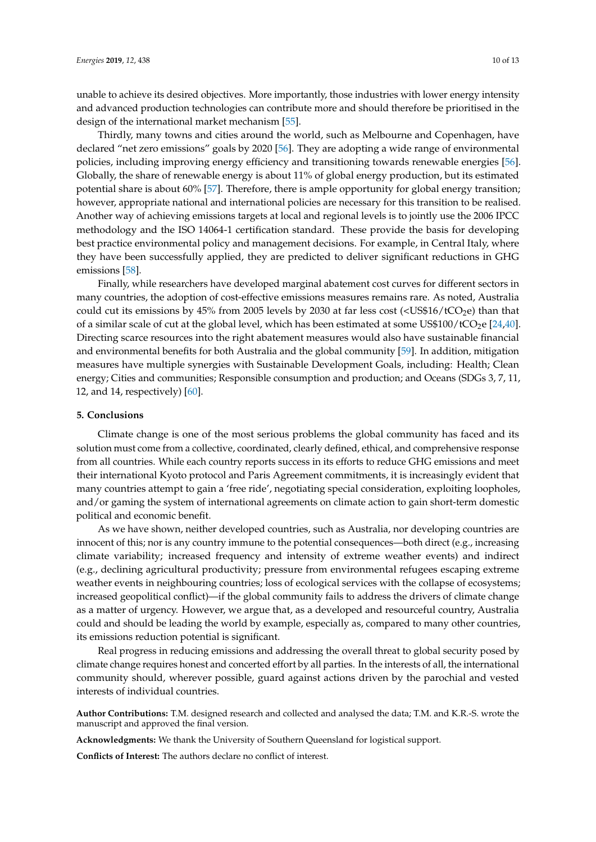unable to achieve its desired objectives. More importantly, those industries with lower energy intensity and advanced production technologies can contribute more and should therefore be prioritised in the design of the international market mechanism [\[55\]](#page-12-11).

Thirdly, many towns and cities around the world, such as Melbourne and Copenhagen, have declared "net zero emissions" goals by 2020 [\[56\]](#page-12-12). They are adopting a wide range of environmental policies, including improving energy efficiency and transitioning towards renewable energies [\[56\]](#page-12-12). Globally, the share of renewable energy is about 11% of global energy production, but its estimated potential share is about 60% [\[57\]](#page-12-13). Therefore, there is ample opportunity for global energy transition; however, appropriate national and international policies are necessary for this transition to be realised. Another way of achieving emissions targets at local and regional levels is to jointly use the 2006 IPCC methodology and the ISO 14064-1 certification standard. These provide the basis for developing best practice environmental policy and management decisions. For example, in Central Italy, where they have been successfully applied, they are predicted to deliver significant reductions in GHG emissions [\[58\]](#page-12-14).

Finally, while researchers have developed marginal abatement cost curves for different sectors in many countries, the adoption of cost-effective emissions measures remains rare. As noted, Australia could cut its emissions by 45% from 2005 levels by 2030 at far less cost ( $\langle$ US\$16/tCO<sub>2</sub>e) than that of a similar scale of cut at the global level, which has been estimated at some US\$100/tCO<sub>2</sub>e [\[24,](#page-11-0)[40\]](#page-11-16). Directing scarce resources into the right abatement measures would also have sustainable financial and environmental benefits for both Australia and the global community [\[59\]](#page-12-15). In addition, mitigation measures have multiple synergies with Sustainable Development Goals, including: Health; Clean energy; Cities and communities; Responsible consumption and production; and Oceans (SDGs 3, 7, 11, 12, and 14, respectively) [\[60\]](#page-12-16).

### **5. Conclusions**

Climate change is one of the most serious problems the global community has faced and its solution must come from a collective, coordinated, clearly defined, ethical, and comprehensive response from all countries. While each country reports success in its efforts to reduce GHG emissions and meet their international Kyoto protocol and Paris Agreement commitments, it is increasingly evident that many countries attempt to gain a 'free ride', negotiating special consideration, exploiting loopholes, and/or gaming the system of international agreements on climate action to gain short-term domestic political and economic benefit.

As we have shown, neither developed countries, such as Australia, nor developing countries are innocent of this; nor is any country immune to the potential consequences—both direct (e.g., increasing climate variability; increased frequency and intensity of extreme weather events) and indirect (e.g., declining agricultural productivity; pressure from environmental refugees escaping extreme weather events in neighbouring countries; loss of ecological services with the collapse of ecosystems; increased geopolitical conflict)—if the global community fails to address the drivers of climate change as a matter of urgency. However, we argue that, as a developed and resourceful country, Australia could and should be leading the world by example, especially as, compared to many other countries, its emissions reduction potential is significant.

Real progress in reducing emissions and addressing the overall threat to global security posed by climate change requires honest and concerted effort by all parties. In the interests of all, the international community should, wherever possible, guard against actions driven by the parochial and vested interests of individual countries.

**Author Contributions:** T.M. designed research and collected and analysed the data; T.M. and K.R.-S. wrote the manuscript and approved the final version.

**Acknowledgments:** We thank the University of Southern Queensland for logistical support.

**Conflicts of Interest:** The authors declare no conflict of interest.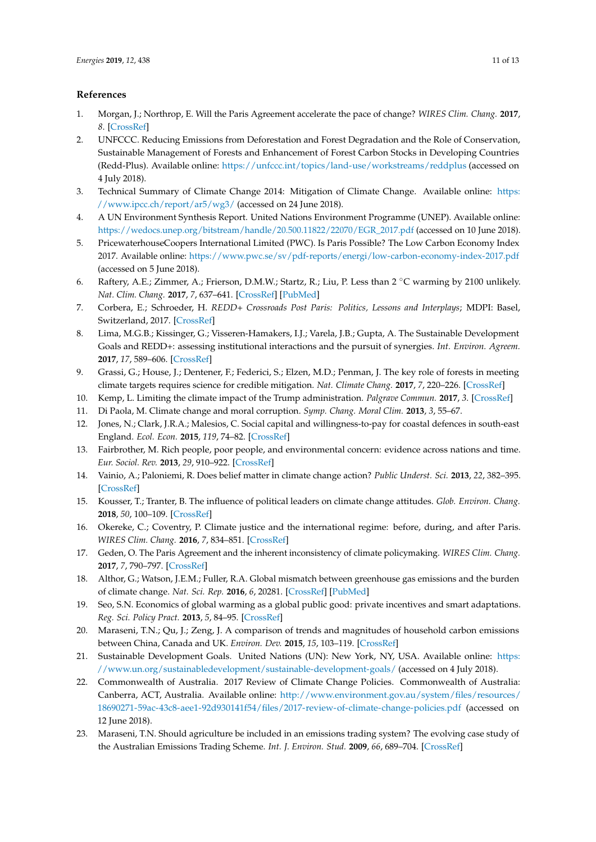## **References**

- <span id="page-10-0"></span>1. Morgan, J.; Northrop, E. Will the Paris Agreement accelerate the pace of change? *WIRES Clim. Chang.* **2017**, *8*. [\[CrossRef\]](http://dx.doi.org/10.1002/wcc.471)
- <span id="page-10-1"></span>2. UNFCCC. Reducing Emissions from Deforestation and Forest Degradation and the Role of Conservation, Sustainable Management of Forests and Enhancement of Forest Carbon Stocks in Developing Countries (Redd-Plus). Available online: <https://unfccc.int/topics/land-use/workstreams/reddplus> (accessed on 4 July 2018).
- <span id="page-10-2"></span>3. Technical Summary of Climate Change 2014: Mitigation of Climate Change. Available online: [https:](https://www.ipcc.ch/report/ar5/wg3/) [//www.ipcc.ch/report/ar5/wg3/](https://www.ipcc.ch/report/ar5/wg3/) (accessed on 24 June 2018).
- <span id="page-10-3"></span>4. A UN Environment Synthesis Report. United Nations Environment Programme (UNEP). Available online: [https://wedocs.unep.org/bitstream/handle/20.500.11822/22070/EGR\\_2017.pdf](https://wedocs.unep.org/bitstream/handle/20.500.11822/22070/EGR_2017.pdf) (accessed on 10 June 2018).
- <span id="page-10-4"></span>5. PricewaterhouseCoopers International Limited (PWC). Is Paris Possible? The Low Carbon Economy Index 2017. Available online: <https://www.pwc.se/sv/pdf-reports/energi/low-carbon-economy-index-2017.pdf> (accessed on 5 June 2018).
- <span id="page-10-5"></span>6. Raftery, A.E.; Zimmer, A.; Frierson, D.M.W.; Startz, R.; Liu, P. Less than 2 ◦C warming by 2100 unlikely. *Nat. Clim. Chang.* **2017**, *7*, 637–641. [\[CrossRef\]](http://dx.doi.org/10.1038/nclimate3352) [\[PubMed\]](http://www.ncbi.nlm.nih.gov/pubmed/30079118)
- <span id="page-10-6"></span>7. Corbera, E.; Schroeder, H. *REDD+ Crossroads Post Paris: Politics, Lessons and Interplays*; MDPI: Basel, Switzerland, 2017. [\[CrossRef\]](http://dx.doi.org/10.3390/f8120508)
- <span id="page-10-7"></span>8. Lima, M.G.B.; Kissinger, G.; Visseren-Hamakers, I.J.; Varela, J.B.; Gupta, A. The Sustainable Development Goals and REDD+: assessing institutional interactions and the pursuit of synergies. *Int. Environ. Agreem.* **2017**, *17*, 589–606. [\[CrossRef\]](http://dx.doi.org/10.1007/s10784-017-9366-9)
- <span id="page-10-8"></span>9. Grassi, G.; House, J.; Dentener, F.; Federici, S.; Elzen, M.D.; Penman, J. The key role of forests in meeting climate targets requires science for credible mitigation. *Nat. Climate Chang.* **2017**, *7*, 220–226. [\[CrossRef\]](http://dx.doi.org/10.1038/nclimate3227)
- <span id="page-10-9"></span>10. Kemp, L. Limiting the climate impact of the Trump administration. *Palgrave Commun.* **2017**, *3*. [\[CrossRef\]](http://dx.doi.org/10.1057/s41599-017-0003-6)
- <span id="page-10-10"></span>11. Di Paola, M. Climate change and moral corruption. *Symp. Chang. Moral Clim.* **2013**, *3*, 55–67.
- <span id="page-10-11"></span>12. Jones, N.; Clark, J.R.A.; Malesios, C. Social capital and willingness-to-pay for coastal defences in south-east England. *Ecol. Econ.* **2015**, *119*, 74–82. [\[CrossRef\]](http://dx.doi.org/10.1016/j.ecolecon.2015.07.023)
- <span id="page-10-12"></span>13. Fairbrother, M. Rich people, poor people, and environmental concern: evidence across nations and time. *Eur. Sociol. Rev.* **2013**, *29*, 910–922. [\[CrossRef\]](http://dx.doi.org/10.1093/esr/jcs068)
- <span id="page-10-13"></span>14. Vainio, A.; Paloniemi, R. Does belief matter in climate change action? *Public Underst. Sci.* **2013**, *22*, 382–395. [\[CrossRef\]](http://dx.doi.org/10.1177/0963662511410268)
- <span id="page-10-14"></span>15. Kousser, T.; Tranter, B. The influence of political leaders on climate change attitudes. *Glob. Environ. Chang.* **2018**, *50*, 100–109. [\[CrossRef\]](http://dx.doi.org/10.1016/j.gloenvcha.2018.03.005)
- <span id="page-10-15"></span>16. Okereke, C.; Coventry, P. Climate justice and the international regime: before, during, and after Paris. *WIRES Clim. Chang.* **2016**, *7*, 834–851. [\[CrossRef\]](http://dx.doi.org/10.1002/wcc.419)
- <span id="page-10-16"></span>17. Geden, O. The Paris Agreement and the inherent inconsistency of climate policymaking. *WIRES Clim. Chang.* **2017**, *7*, 790–797. [\[CrossRef\]](http://dx.doi.org/10.1002/wcc.427)
- <span id="page-10-17"></span>18. Althor, G.; Watson, J.E.M.; Fuller, R.A. Global mismatch between greenhouse gas emissions and the burden of climate change. *Nat. Sci. Rep.* **2016**, *6*, 20281. [\[CrossRef\]](http://dx.doi.org/10.1038/srep20281) [\[PubMed\]](http://www.ncbi.nlm.nih.gov/pubmed/26848052)
- <span id="page-10-18"></span>19. Seo, S.N. Economics of global warming as a global public good: private incentives and smart adaptations. *Reg. Sci. Policy Pract.* **2013**, *5*, 84–95. [\[CrossRef\]](http://dx.doi.org/10.1111/j.1757-7802.2012.01088.x)
- <span id="page-10-19"></span>20. Maraseni, T.N.; Qu, J.; Zeng, J. A comparison of trends and magnitudes of household carbon emissions between China, Canada and UK. *Environ. Dev.* **2015**, *15*, 103–119. [\[CrossRef\]](http://dx.doi.org/10.1016/j.envdev.2015.04.001)
- <span id="page-10-20"></span>21. Sustainable Development Goals. United Nations (UN): New York, NY, USA. Available online: [https:](https://www.un.org/sustainabledevelopment/sustainable-development-goals/) [//www.un.org/sustainabledevelopment/sustainable-development-goals/](https://www.un.org/sustainabledevelopment/sustainable-development-goals/) (accessed on 4 July 2018).
- <span id="page-10-21"></span>22. Commonwealth of Australia. 2017 Review of Climate Change Policies. Commonwealth of Australia: Canberra, ACT, Australia. Available online: [http://www.environment.gov.au/system/files/resources/](http://www.environment.gov.au/system/files/resources/18690271-59ac-43c8-aee1-92d930141f54/files/2017-review-of-climate-change-policies.pdf) [18690271-59ac-43c8-aee1-92d930141f54/files/2017-review-of-climate-change-policies.pdf](http://www.environment.gov.au/system/files/resources/18690271-59ac-43c8-aee1-92d930141f54/files/2017-review-of-climate-change-policies.pdf) (accessed on 12 June 2018).
- <span id="page-10-22"></span>23. Maraseni, T.N. Should agriculture be included in an emissions trading system? The evolving case study of the Australian Emissions Trading Scheme. *Int. J. Environ. Stud.* **2009**, *66*, 689–704. [\[CrossRef\]](http://dx.doi.org/10.1080/00207230903299364)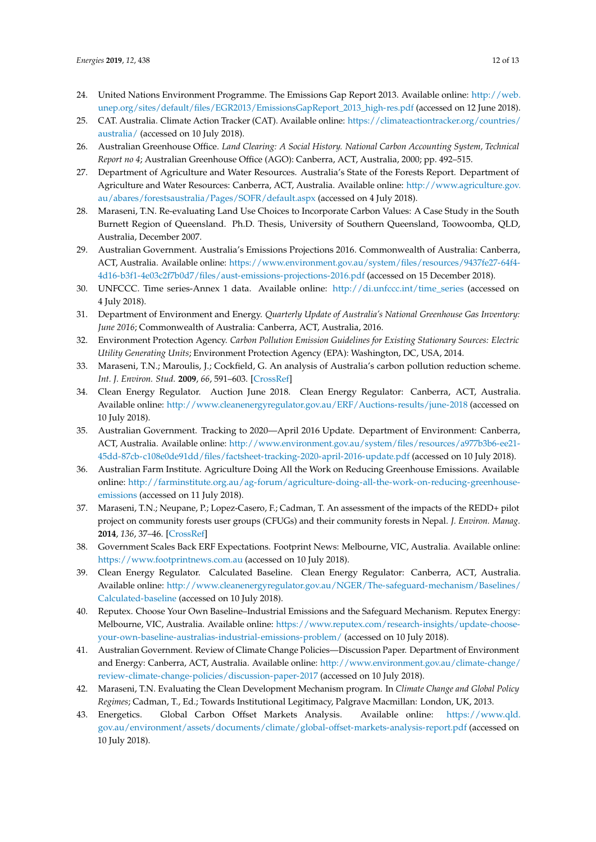- <span id="page-11-0"></span>24. United Nations Environment Programme. The Emissions Gap Report 2013. Available online: [http://web.](http://web.unep.org/sites/default/files/EGR2013/EmissionsGapReport_2013_high-res.pdf) [unep.org/sites/default/files/EGR2013/EmissionsGapReport\\_2013\\_high-res.pdf](http://web.unep.org/sites/default/files/EGR2013/EmissionsGapReport_2013_high-res.pdf) (accessed on 12 June 2018).
- <span id="page-11-1"></span>25. CAT. Australia. Climate Action Tracker (CAT). Available online: [https://climateactiontracker.org/countries/](https://climateactiontracker.org/countries/australia/) [australia/](https://climateactiontracker.org/countries/australia/) (accessed on 10 July 2018).
- <span id="page-11-2"></span>26. Australian Greenhouse Office. *Land Clearing: A Social History. National Carbon Accounting System, Technical Report no 4*; Australian Greenhouse Office (AGO): Canberra, ACT, Australia, 2000; pp. 492–515.
- <span id="page-11-3"></span>27. Department of Agriculture and Water Resources. Australia's State of the Forests Report. Department of Agriculture and Water Resources: Canberra, ACT, Australia. Available online: [http://www.agriculture.gov.](http://www.agriculture.gov.au/abares/forestsaustralia/Pages/SOFR/default.aspx) [au/abares/forestsaustralia/Pages/SOFR/default.aspx](http://www.agriculture.gov.au/abares/forestsaustralia/Pages/SOFR/default.aspx) (accessed on 4 July 2018).
- <span id="page-11-4"></span>28. Maraseni, T.N. Re-evaluating Land Use Choices to Incorporate Carbon Values: A Case Study in the South Burnett Region of Queensland. Ph.D. Thesis, University of Southern Queensland, Toowoomba, QLD, Australia, December 2007.
- <span id="page-11-5"></span>29. Australian Government. Australia's Emissions Projections 2016. Commonwealth of Australia: Canberra, ACT, Australia. Available online: [https://www.environment.gov.au/system/files/resources/9437fe27-64f4-](https://www.environment.gov.au/system/files/resources/9437fe27-64f4-4d16-b3f1-4e03c2f7b0d7/files/aust-emissions-projections-2016.pdf) [4d16-b3f1-4e03c2f7b0d7/files/aust-emissions-projections-2016.pdf](https://www.environment.gov.au/system/files/resources/9437fe27-64f4-4d16-b3f1-4e03c2f7b0d7/files/aust-emissions-projections-2016.pdf) (accessed on 15 December 2018).
- <span id="page-11-6"></span>30. UNFCCC. Time series-Annex 1 data. Available online: [http://di.unfccc.int/time\\_series](http://di.unfccc.int/time_series) (accessed on 4 July 2018).
- <span id="page-11-7"></span>31. Department of Environment and Energy. *Quarterly Update of Australia's National Greenhouse Gas Inventory: June 2016*; Commonwealth of Australia: Canberra, ACT, Australia, 2016.
- <span id="page-11-8"></span>32. Environment Protection Agency. *Carbon Pollution Emission Guidelines for Existing Stationary Sources: Electric Utility Generating Units*; Environment Protection Agency (EPA): Washington, DC, USA, 2014.
- <span id="page-11-9"></span>33. Maraseni, T.N.; Maroulis, J.; Cockfield, G. An analysis of Australia's carbon pollution reduction scheme. *Int. J. Environ. Stud.* **2009**, *66*, 591–603. [\[CrossRef\]](http://dx.doi.org/10.1080/00207230902916190)
- <span id="page-11-10"></span>34. Clean Energy Regulator. Auction June 2018. Clean Energy Regulator: Canberra, ACT, Australia. Available online: <http://www.cleanenergyregulator.gov.au/ERF/Auctions-results/june-2018> (accessed on 10 July 2018).
- <span id="page-11-11"></span>35. Australian Government. Tracking to 2020—April 2016 Update. Department of Environment: Canberra, ACT, Australia. Available online: [http://www.environment.gov.au/system/files/resources/a977b3b6-ee21-](http://www.environment.gov.au/system/files/resources/a977b3b6-ee21-45dd-87cb-c108e0de91dd/files/factsheet-tracking-2020-april-2016-update.pdf) [45dd-87cb-c108e0de91dd/files/factsheet-tracking-2020-april-2016-update.pdf](http://www.environment.gov.au/system/files/resources/a977b3b6-ee21-45dd-87cb-c108e0de91dd/files/factsheet-tracking-2020-april-2016-update.pdf) (accessed on 10 July 2018).
- <span id="page-11-12"></span>36. Australian Farm Institute. Agriculture Doing All the Work on Reducing Greenhouse Emissions. Available online: [http://farminstitute.org.au/ag-forum/agriculture-doing-all-the-work-on-reducing-greenhouse](http://farminstitute.org.au/ag-forum/agriculture-doing-all-the-work-on-reducing-greenhouse-emissions)[emissions](http://farminstitute.org.au/ag-forum/agriculture-doing-all-the-work-on-reducing-greenhouse-emissions) (accessed on 11 July 2018).
- <span id="page-11-13"></span>37. Maraseni, T.N.; Neupane, P.; Lopez-Casero, F.; Cadman, T. An assessment of the impacts of the REDD+ pilot project on community forests user groups (CFUGs) and their community forests in Nepal. *J. Environ. Manag.* **2014**, *136*, 37–46. [\[CrossRef\]](http://dx.doi.org/10.1016/j.jenvman.2014.01.011)
- <span id="page-11-14"></span>38. Government Scales Back ERF Expectations. Footprint News: Melbourne, VIC, Australia. Available online: <https://www.footprintnews.com.au> (accessed on 10 July 2018).
- <span id="page-11-15"></span>39. Clean Energy Regulator. Calculated Baseline. Clean Energy Regulator: Canberra, ACT, Australia. Available online: [http://www.cleanenergyregulator.gov.au/NGER/The-safeguard-mechanism/Baselines/](http://www.cleanenergyregulator.gov.au/NGER/The-safeguard-mechanism/Baselines/Calculated-baseline) [Calculated-baseline](http://www.cleanenergyregulator.gov.au/NGER/The-safeguard-mechanism/Baselines/Calculated-baseline) (accessed on 10 July 2018).
- <span id="page-11-16"></span>40. Reputex. Choose Your Own Baseline–Industrial Emissions and the Safeguard Mechanism. Reputex Energy: Melbourne, VIC, Australia. Available online: [https://www.reputex.com/research-insights/update-choose](https://www.reputex.com/research-insights/update-choose-your-own-baseline-australias-industrial-emissions-problem/)[your-own-baseline-australias-industrial-emissions-problem/](https://www.reputex.com/research-insights/update-choose-your-own-baseline-australias-industrial-emissions-problem/) (accessed on 10 July 2018).
- <span id="page-11-17"></span>41. Australian Government. Review of Climate Change Policies—Discussion Paper. Department of Environment and Energy: Canberra, ACT, Australia. Available online: [http://www.environment.gov.au/climate-change/](http://www.environment.gov.au/climate-change/review-climate-change-policies/discussion-paper-2017) [review-climate-change-policies/discussion-paper-2017](http://www.environment.gov.au/climate-change/review-climate-change-policies/discussion-paper-2017) (accessed on 10 July 2018).
- <span id="page-11-18"></span>42. Maraseni, T.N. Evaluating the Clean Development Mechanism program. In *Climate Change and Global Policy Regimes*; Cadman, T., Ed.; Towards Institutional Legitimacy, Palgrave Macmillan: London, UK, 2013.
- <span id="page-11-19"></span>43. Energetics. Global Carbon Offset Markets Analysis. Available online: [https://www.qld.](https://www.qld.gov.au/environment/assets/documents/climate/global-offset-markets-analysis-report.pdf) [gov.au/environment/assets/documents/climate/global-offset-markets-analysis-report.pdf](https://www.qld.gov.au/environment/assets/documents/climate/global-offset-markets-analysis-report.pdf) (accessed on 10 July 2018).